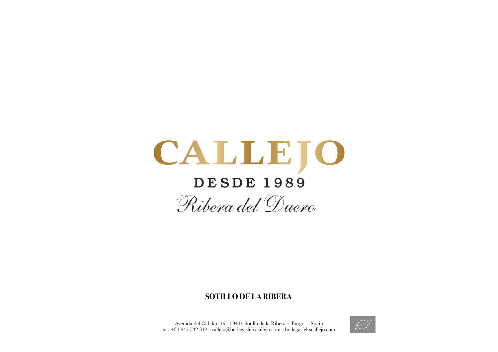# CALLEJO **DESDE 1989** Ribera del Duero

### **SOTILLO DE LA RIBERA**

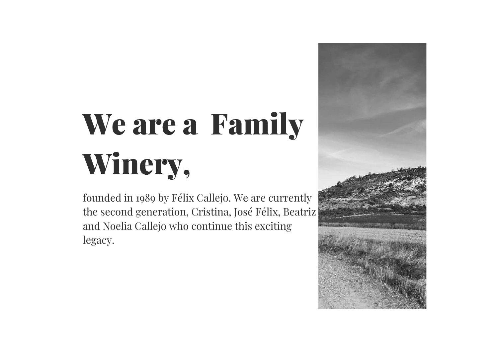# We are a Family Winery,

founded in 1989 by Félix Callejo. We are currently the second generation, Cristina, José Félix, Beatriz and Noelia Callejo who continue this exciting legacy.

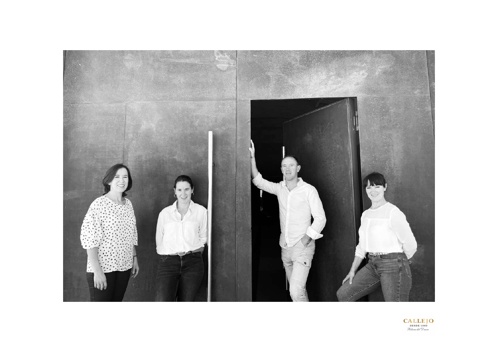

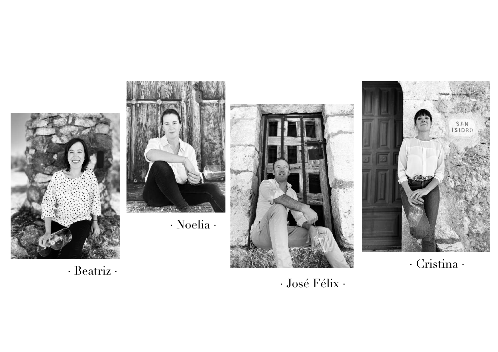

· Beatriz ·



· Noelia ·





· Cristina ·

· José Félix ·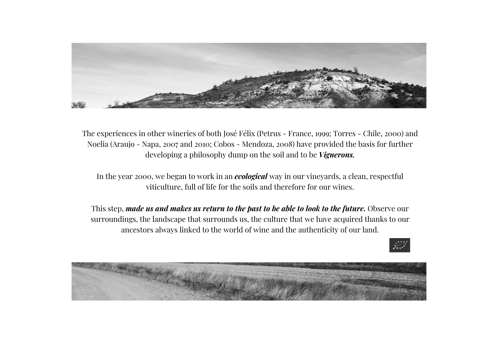

The experiences in other wineries of both José Félix (Petrus - France, 1999; Torres - Chile, 2000) and Noelia (Araujo - Napa, 2007 and 2010; Cobos - Mendoza, 2008) have provided the basis for further developing a philosophy dump on the soil and to be *Vignerons.*

In the year 2000, we began to work in an *ecological* way in our vineyards, a clean, respectful viticulture, full of life for the soils and therefore for our wines.

This step, *made us and makes us return to the past to be able to look to the future.* Observe our surroundings, the landscape that surrounds us, the culture that we have acquired thanks to our ancestors always linked to the world of wine and the authenticity of our land.



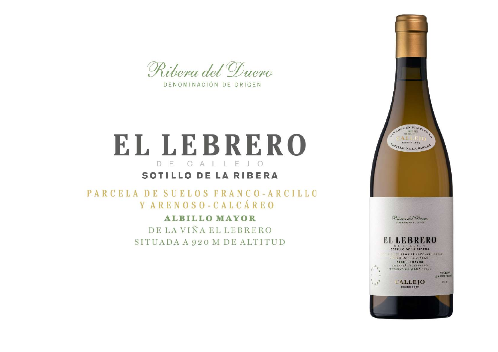Ribera del Duero

DENOMINACIÓN DE ORIGEN

# **EL LEBRERO** E CALLEJO D

### SOTILLO DE LA RIBERA

## PARCELA DE SUELOS FRANCO-ARCILLO Y ARENOSO-CALCÁREO

# **ALBILLO MAYOR** DE LA VIÑA EL LEBRERO SITUADA A 920 M DE ALTITUD

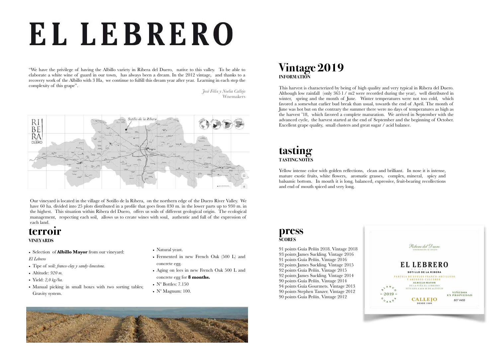# **EL LEBRERO**

"We have the privilege of having the Albillo variety in Ribera del Duero, native to this valley. To be able to elaborate a white wine of guard in our town, has always been a dream. In the 2012 vintage, and thanks to a recovery work of the Albillo with 3 Ha, we continue to fulfill this dream year after year. Learning in each step the complexity of this grape".

> *José Félix y Noelia Callejo*  Wnemakers



Our vineyard is located in the village of Sotillo de la Ribera, on the northern edge of the Duero River Valley. We have 60 ha. divided into 25 plots distributed in a profile that goes from 830 m. in the lower parts up to 930 m. in the highest. This situation within Ribera del Duero, offers us soils of different geological origin. The ecological management, respecting each soil, allows us to create wines with soul, authentic and full of the expression of each land.

#### **terroir VINEYARDS**

- Selection of **Albillo Mayor** from our vineyard:
- *El Lebrero*
- Tipe of soil: *franco-clay y sandy-limestone.*
- Altitude: *920 m.*
- Yield: *2,0 kg/ha.*
- Manual picking in small boxes with two sorting tables; Gravity system.
- Natural yeast.
- Fermented in new French Oak (500 L) and concrete egg.
- Aging on lees in new French Oak 500 L and
- concrete egg for **8 months.**
- Nº Bottles: 7.150
- Nº Magnum: 100.

# **Vintage 2019 INFORMATION**

This harvest is characterized by being of high quality and very typical in Ribera del Duero. Although low rainfall (only 365 l / m2 were recorded during the year), well distributed in winter, spring and the month of June. Winter temperatures were not too cold, which favored a somewhat earlier bud break than usual, towards the end of April. The month of June was hot but on the contrary the summer there were no days of temperatures as high as the harvest '18, which favored a complete maturation. We arrived in September with the advanced cycle, the harvest started at the end of September and the beginning of October. Excellent grape quality, small clusters and great sugar / acid balance.

### **tasting TASTING NOTES**

Yellow intense color with golden reflections, clean and brilliant. In nose it is intense, mature exotic fruits, white flowers, aromatic grasses, complex, mineral, spicy and balsamic bottom. In mouth it is long, balanced, expressive, fruit-bearing recollections and end of mouth spiced and very long.

#### **press SCORES**

91 points Guía Peñín 2018. Vintage 2018 93 points James Suckling. Vintage 2016 91 points Guía Peñín. Vintage 2016 92 points James Suckling. Vintage 2015 92 points Guía Peñín. Vintage 2015 92 points James Suckling. Vintage 2014 90 points Guía Peñín. Vintage 2014 94 points Guía Gourmets. Vintage 2013 90 points Stephen Tanzer. Vintage 2012 90 points Guía Peñín. Vintage 2012